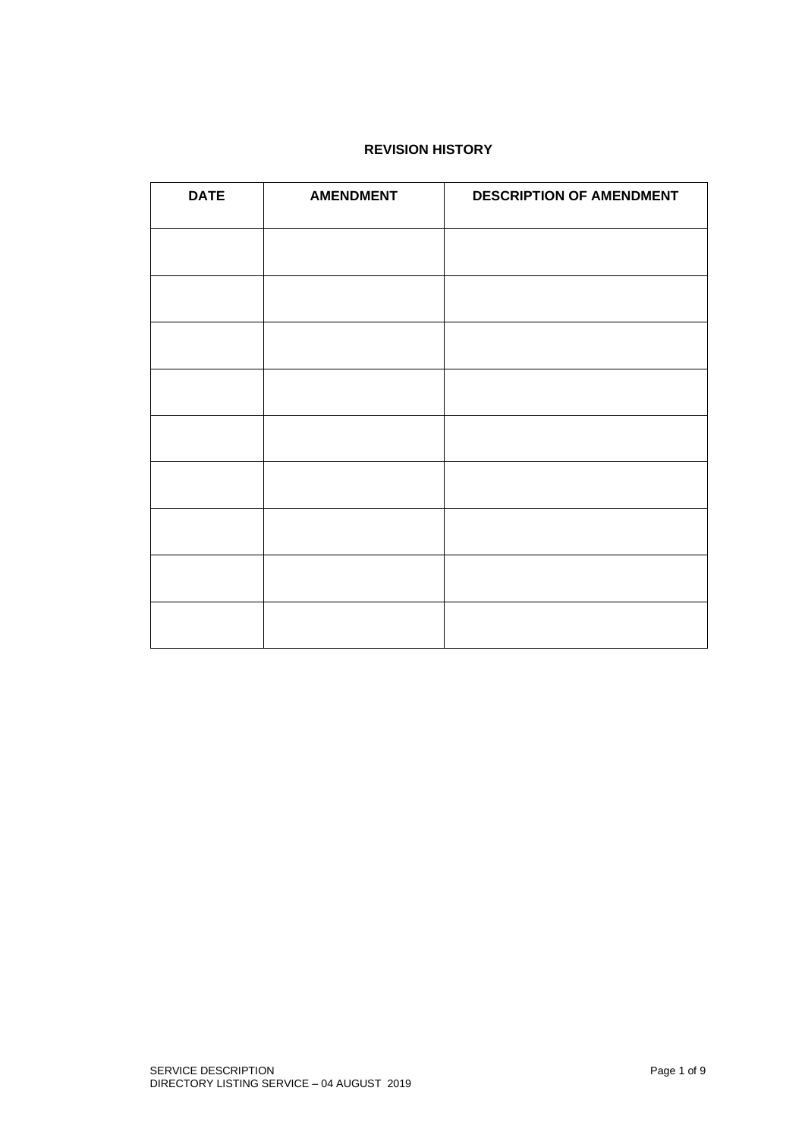# **REVISION HISTORY**

| <b>DATE</b> | <b>AMENDMENT</b> | <b>DESCRIPTION OF AMENDMENT</b> |
|-------------|------------------|---------------------------------|
|             |                  |                                 |
|             |                  |                                 |
|             |                  |                                 |
|             |                  |                                 |
|             |                  |                                 |
|             |                  |                                 |
|             |                  |                                 |
|             |                  |                                 |
|             |                  |                                 |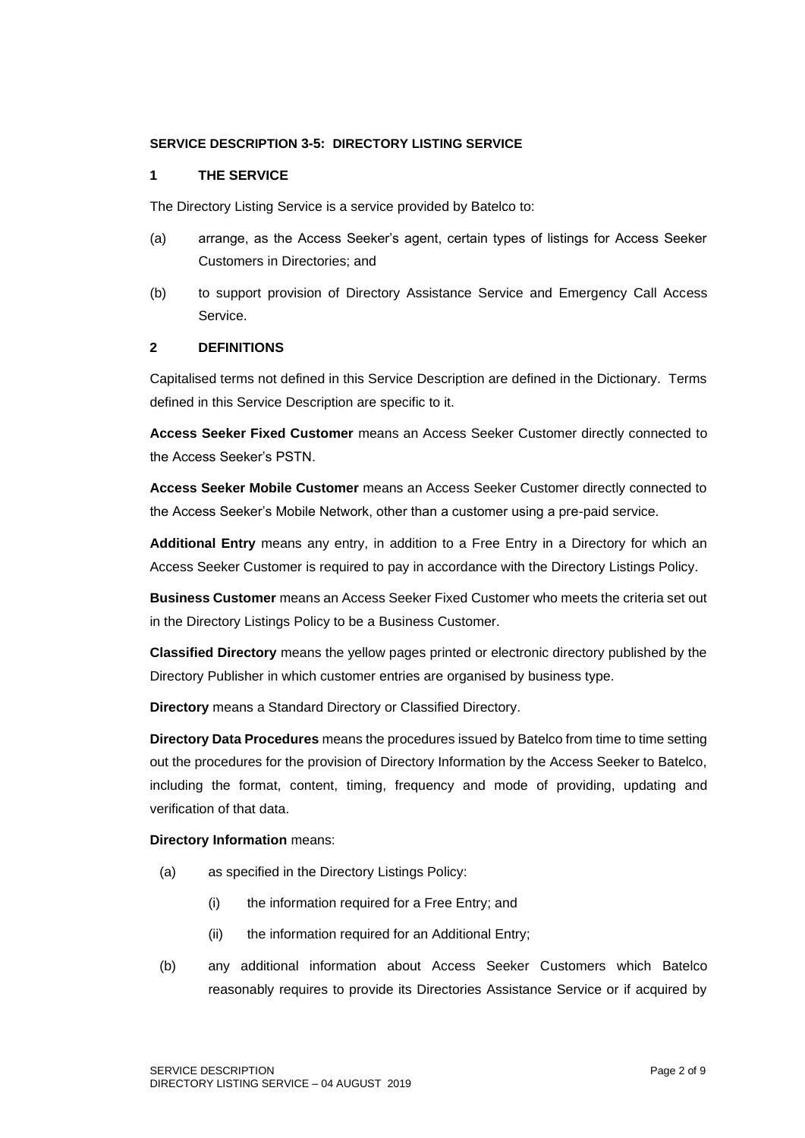### **SERVICE DESCRIPTION 3-5: DIRECTORY LISTING SERVICE**

#### **1 THE SERVICE**

The Directory Listing Service is a service provided by Batelco to:

- (a) arrange, as the Access Seeker's agent, certain types of listings for Access Seeker Customers in Directories; and
- (b) to support provision of Directory Assistance Service and Emergency Call Access Service.

# **2 DEFINITIONS**

Capitalised terms not defined in this Service Description are defined in the Dictionary. Terms defined in this Service Description are specific to it.

**Access Seeker Fixed Customer** means an Access Seeker Customer directly connected to the Access Seeker's PSTN.

**Access Seeker Mobile Customer** means an Access Seeker Customer directly connected to the Access Seeker's Mobile Network, other than a customer using a pre-paid service.

**Additional Entry** means any entry, in addition to a Free Entry in a Directory for which an Access Seeker Customer is required to pay in accordance with the Directory Listings Policy.

**Business Customer** means an Access Seeker Fixed Customer who meets the criteria set out in the Directory Listings Policy to be a Business Customer.

**Classified Directory** means the yellow pages printed or electronic directory published by the Directory Publisher in which customer entries are organised by business type.

**Directory** means a Standard Directory or Classified Directory.

**Directory Data Procedures** means the procedures issued by Batelco from time to time setting out the procedures for the provision of Directory Information by the Access Seeker to Batelco, including the format, content, timing, frequency and mode of providing, updating and verification of that data.

#### **Directory Information** means:

- (a) as specified in the Directory Listings Policy:
	- (i) the information required for a Free Entry; and
	- (ii) the information required for an Additional Entry;
- (b) any additional information about Access Seeker Customers which Batelco reasonably requires to provide its Directories Assistance Service or if acquired by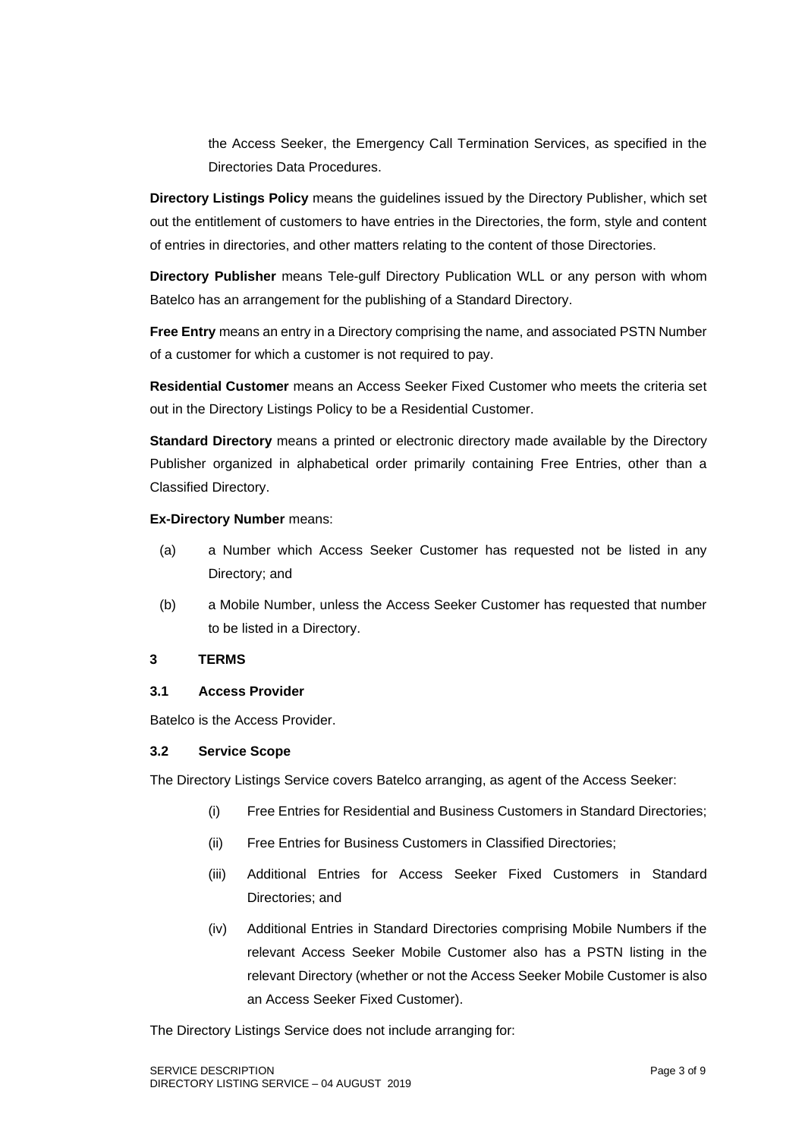the Access Seeker, the Emergency Call Termination Services, as specified in the Directories Data Procedures.

**Directory Listings Policy** means the guidelines issued by the Directory Publisher, which set out the entitlement of customers to have entries in the Directories, the form, style and content of entries in directories, and other matters relating to the content of those Directories.

**Directory Publisher** means Tele-gulf Directory Publication WLL or any person with whom Batelco has an arrangement for the publishing of a Standard Directory.

**Free Entry** means an entry in a Directory comprising the name, and associated PSTN Number of a customer for which a customer is not required to pay.

**Residential Customer** means an Access Seeker Fixed Customer who meets the criteria set out in the Directory Listings Policy to be a Residential Customer.

**Standard Directory** means a printed or electronic directory made available by the Directory Publisher organized in alphabetical order primarily containing Free Entries, other than a Classified Directory.

# **Ex-Directory Number** means:

- (a) a Number which Access Seeker Customer has requested not be listed in any Directory; and
- (b) a Mobile Number, unless the Access Seeker Customer has requested that number to be listed in a Directory.

## **3 TERMS**

## **3.1 Access Provider**

Batelco is the Access Provider.

#### **3.2 Service Scope**

The Directory Listings Service covers Batelco arranging, as agent of the Access Seeker:

- (i) Free Entries for Residential and Business Customers in Standard Directories;
- (ii) Free Entries for Business Customers in Classified Directories;
- (iii) Additional Entries for Access Seeker Fixed Customers in Standard Directories; and
- (iv) Additional Entries in Standard Directories comprising Mobile Numbers if the relevant Access Seeker Mobile Customer also has a PSTN listing in the relevant Directory (whether or not the Access Seeker Mobile Customer is also an Access Seeker Fixed Customer).

The Directory Listings Service does not include arranging for: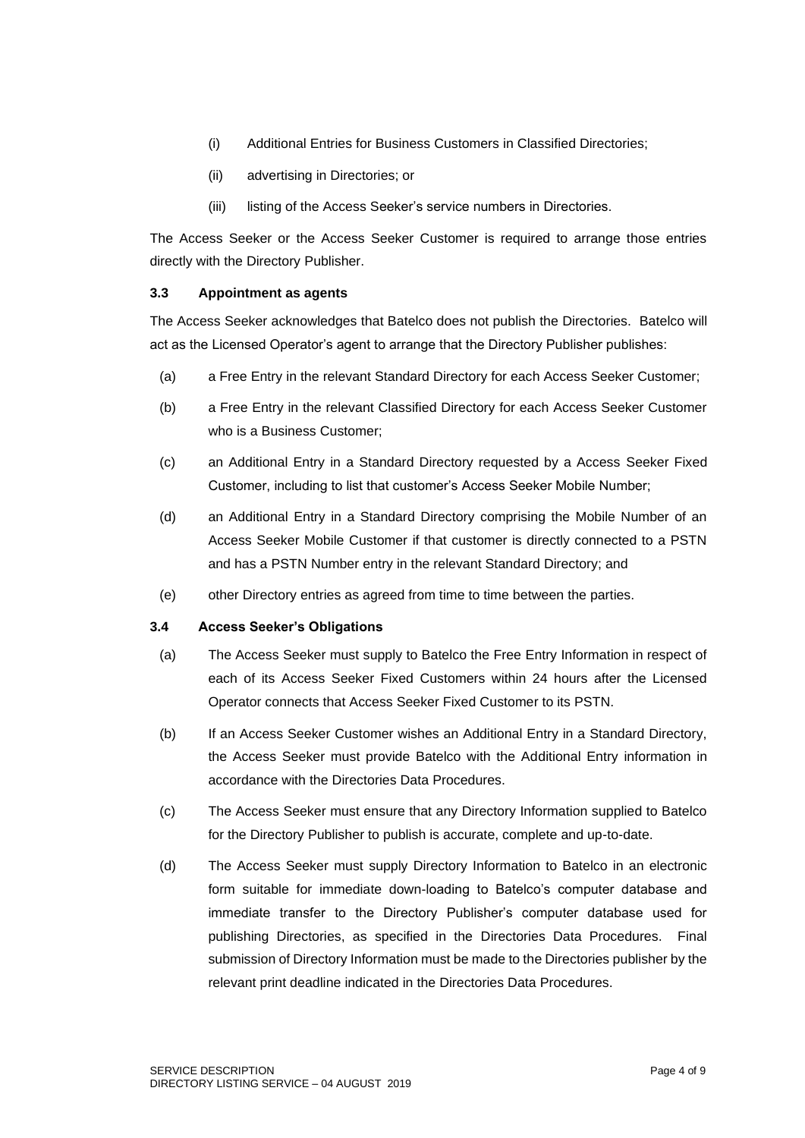- (i) Additional Entries for Business Customers in Classified Directories;
- (ii) advertising in Directories; or
- (iii) listing of the Access Seeker's service numbers in Directories.

The Access Seeker or the Access Seeker Customer is required to arrange those entries directly with the Directory Publisher.

# **3.3 Appointment as agents**

The Access Seeker acknowledges that Batelco does not publish the Directories. Batelco will act as the Licensed Operator's agent to arrange that the Directory Publisher publishes:

- (a) a Free Entry in the relevant Standard Directory for each Access Seeker Customer;
- (b) a Free Entry in the relevant Classified Directory for each Access Seeker Customer who is a Business Customer;
- (c) an Additional Entry in a Standard Directory requested by a Access Seeker Fixed Customer, including to list that customer's Access Seeker Mobile Number;
- (d) an Additional Entry in a Standard Directory comprising the Mobile Number of an Access Seeker Mobile Customer if that customer is directly connected to a PSTN and has a PSTN Number entry in the relevant Standard Directory; and
- (e) other Directory entries as agreed from time to time between the parties.

## **3.4 Access Seeker's Obligations**

- (a) The Access Seeker must supply to Batelco the Free Entry Information in respect of each of its Access Seeker Fixed Customers within 24 hours after the Licensed Operator connects that Access Seeker Fixed Customer to its PSTN.
- (b) If an Access Seeker Customer wishes an Additional Entry in a Standard Directory, the Access Seeker must provide Batelco with the Additional Entry information in accordance with the Directories Data Procedures.
- (c) The Access Seeker must ensure that any Directory Information supplied to Batelco for the Directory Publisher to publish is accurate, complete and up-to-date.
- (d) The Access Seeker must supply Directory Information to Batelco in an electronic form suitable for immediate down-loading to Batelco's computer database and immediate transfer to the Directory Publisher's computer database used for publishing Directories, as specified in the Directories Data Procedures. Final submission of Directory Information must be made to the Directories publisher by the relevant print deadline indicated in the Directories Data Procedures.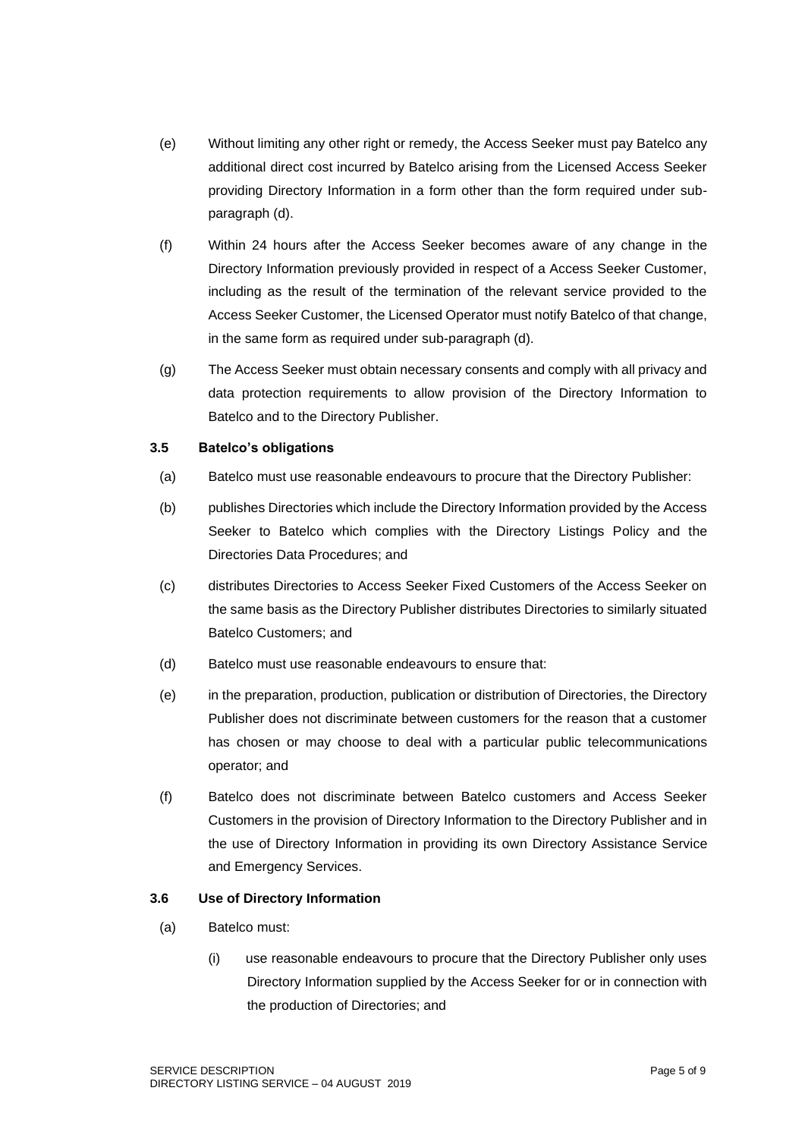- (e) Without limiting any other right or remedy, the Access Seeker must pay Batelco any additional direct cost incurred by Batelco arising from the Licensed Access Seeker providing Directory Information in a form other than the form required under subparagraph (d).
- (f) Within 24 hours after the Access Seeker becomes aware of any change in the Directory Information previously provided in respect of a Access Seeker Customer, including as the result of the termination of the relevant service provided to the Access Seeker Customer, the Licensed Operator must notify Batelco of that change, in the same form as required under sub-paragraph (d).
- (g) The Access Seeker must obtain necessary consents and comply with all privacy and data protection requirements to allow provision of the Directory Information to Batelco and to the Directory Publisher.

## **3.5 Batelco's obligations**

- (a) Batelco must use reasonable endeavours to procure that the Directory Publisher:
- (b) publishes Directories which include the Directory Information provided by the Access Seeker to Batelco which complies with the Directory Listings Policy and the Directories Data Procedures; and
- (c) distributes Directories to Access Seeker Fixed Customers of the Access Seeker on the same basis as the Directory Publisher distributes Directories to similarly situated Batelco Customers; and
- (d) Batelco must use reasonable endeavours to ensure that:
- (e) in the preparation, production, publication or distribution of Directories, the Directory Publisher does not discriminate between customers for the reason that a customer has chosen or may choose to deal with a particular public telecommunications operator; and
- (f) Batelco does not discriminate between Batelco customers and Access Seeker Customers in the provision of Directory Information to the Directory Publisher and in the use of Directory Information in providing its own Directory Assistance Service and Emergency Services.

## **3.6 Use of Directory Information**

- (a) Batelco must:
	- (i) use reasonable endeavours to procure that the Directory Publisher only uses Directory Information supplied by the Access Seeker for or in connection with the production of Directories; and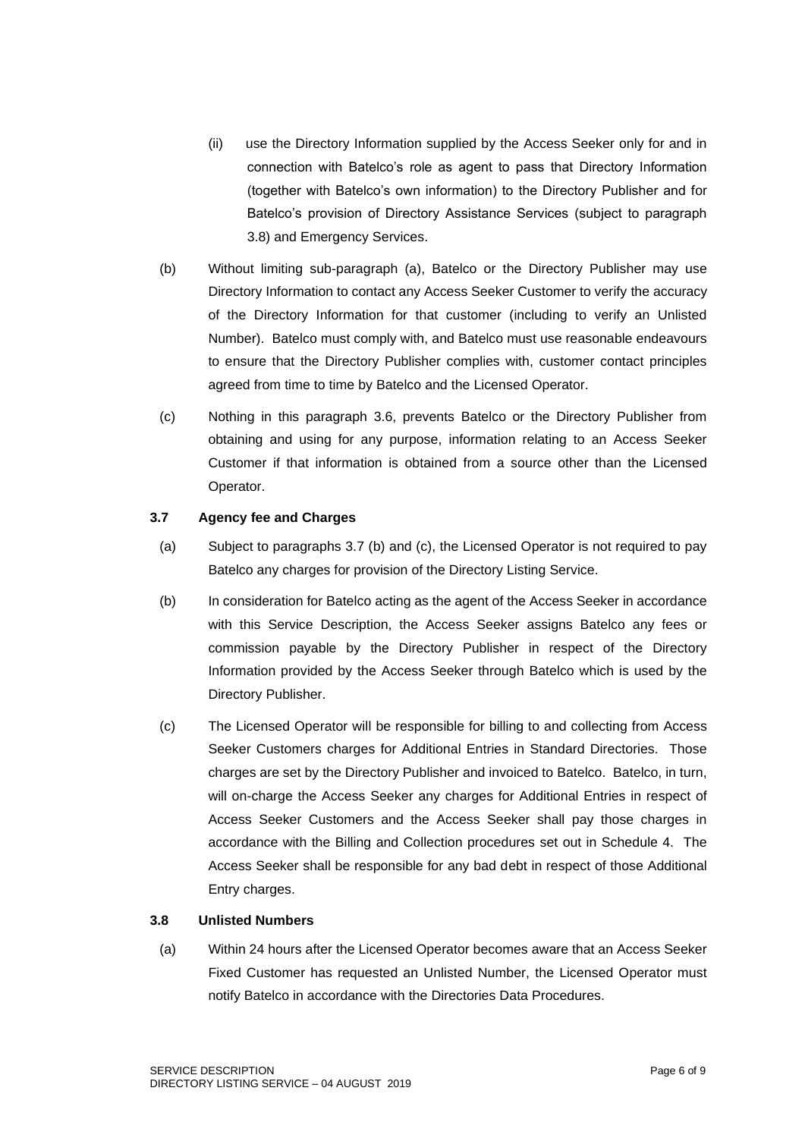- (ii) use the Directory Information supplied by the Access Seeker only for and in connection with Batelco's role as agent to pass that Directory Information (together with Batelco's own information) to the Directory Publisher and for Batelco's provision of Directory Assistance Services (subject to paragraph 3.8) and Emergency Services.
- (b) Without limiting sub-paragraph (a), Batelco or the Directory Publisher may use Directory Information to contact any Access Seeker Customer to verify the accuracy of the Directory Information for that customer (including to verify an Unlisted Number). Batelco must comply with, and Batelco must use reasonable endeavours to ensure that the Directory Publisher complies with, customer contact principles agreed from time to time by Batelco and the Licensed Operator.
- (c) Nothing in this paragraph 3.6, prevents Batelco or the Directory Publisher from obtaining and using for any purpose, information relating to an Access Seeker Customer if that information is obtained from a source other than the Licensed Operator.

# **3.7 Agency fee and Charges**

- (a) Subject to paragraphs 3.7 (b) and (c), the Licensed Operator is not required to pay Batelco any charges for provision of the Directory Listing Service.
- (b) In consideration for Batelco acting as the agent of the Access Seeker in accordance with this Service Description, the Access Seeker assigns Batelco any fees or commission payable by the Directory Publisher in respect of the Directory Information provided by the Access Seeker through Batelco which is used by the Directory Publisher.
- (c) The Licensed Operator will be responsible for billing to and collecting from Access Seeker Customers charges for Additional Entries in Standard Directories. Those charges are set by the Directory Publisher and invoiced to Batelco. Batelco, in turn, will on-charge the Access Seeker any charges for Additional Entries in respect of Access Seeker Customers and the Access Seeker shall pay those charges in accordance with the Billing and Collection procedures set out in Schedule 4. The Access Seeker shall be responsible for any bad debt in respect of those Additional Entry charges.

## **3.8 Unlisted Numbers**

(a) Within 24 hours after the Licensed Operator becomes aware that an Access Seeker Fixed Customer has requested an Unlisted Number, the Licensed Operator must notify Batelco in accordance with the Directories Data Procedures.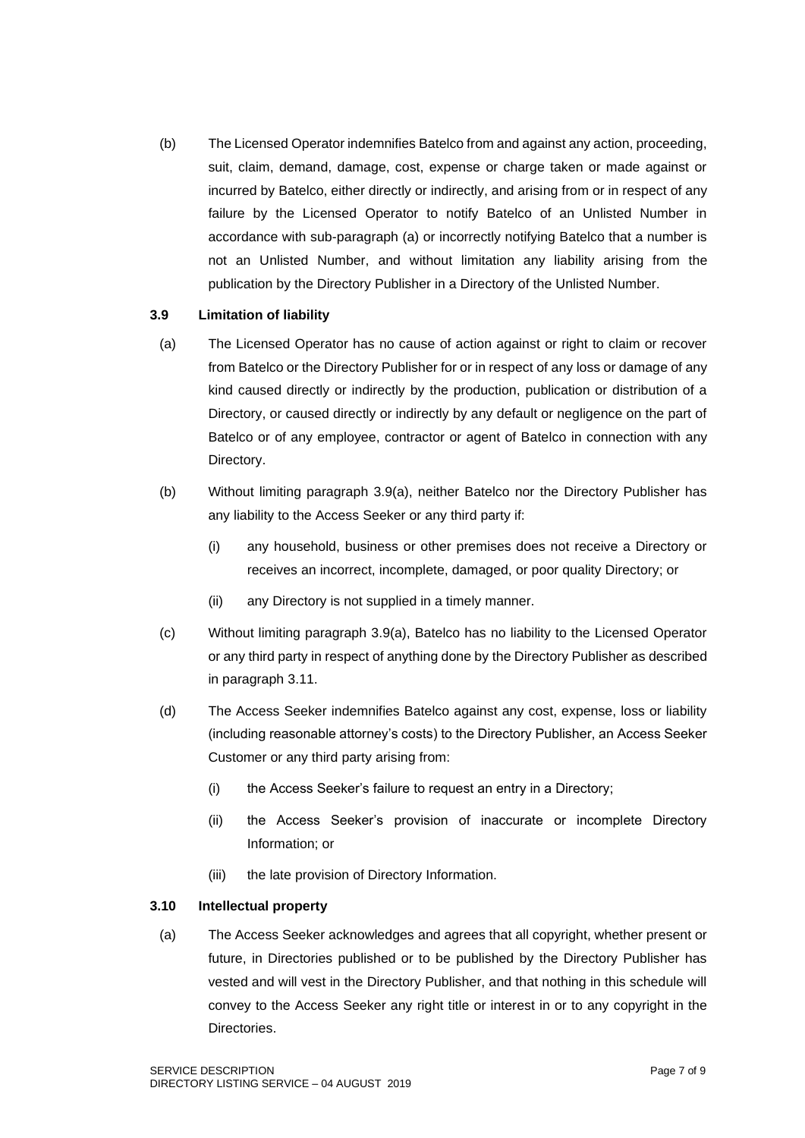(b) The Licensed Operator indemnifies Batelco from and against any action, proceeding, suit, claim, demand, damage, cost, expense or charge taken or made against or incurred by Batelco, either directly or indirectly, and arising from or in respect of any failure by the Licensed Operator to notify Batelco of an Unlisted Number in accordance with sub-paragraph (a) or incorrectly notifying Batelco that a number is not an Unlisted Number, and without limitation any liability arising from the publication by the Directory Publisher in a Directory of the Unlisted Number.

## **3.9 Limitation of liability**

- (a) The Licensed Operator has no cause of action against or right to claim or recover from Batelco or the Directory Publisher for or in respect of any loss or damage of any kind caused directly or indirectly by the production, publication or distribution of a Directory, or caused directly or indirectly by any default or negligence on the part of Batelco or of any employee, contractor or agent of Batelco in connection with any Directory.
- (b) Without limiting paragraph 3.9(a), neither Batelco nor the Directory Publisher has any liability to the Access Seeker or any third party if:
	- (i) any household, business or other premises does not receive a Directory or receives an incorrect, incomplete, damaged, or poor quality Directory; or
	- (ii) any Directory is not supplied in a timely manner.
- (c) Without limiting paragraph 3.9(a), Batelco has no liability to the Licensed Operator or any third party in respect of anything done by the Directory Publisher as described in paragraph 3.11.
- (d) The Access Seeker indemnifies Batelco against any cost, expense, loss or liability (including reasonable attorney's costs) to the Directory Publisher, an Access Seeker Customer or any third party arising from:
	- (i) the Access Seeker's failure to request an entry in a Directory;
	- (ii) the Access Seeker's provision of inaccurate or incomplete Directory Information; or
	- (iii) the late provision of Directory Information.

## **3.10 Intellectual property**

(a) The Access Seeker acknowledges and agrees that all copyright, whether present or future, in Directories published or to be published by the Directory Publisher has vested and will vest in the Directory Publisher, and that nothing in this schedule will convey to the Access Seeker any right title or interest in or to any copyright in the Directories.